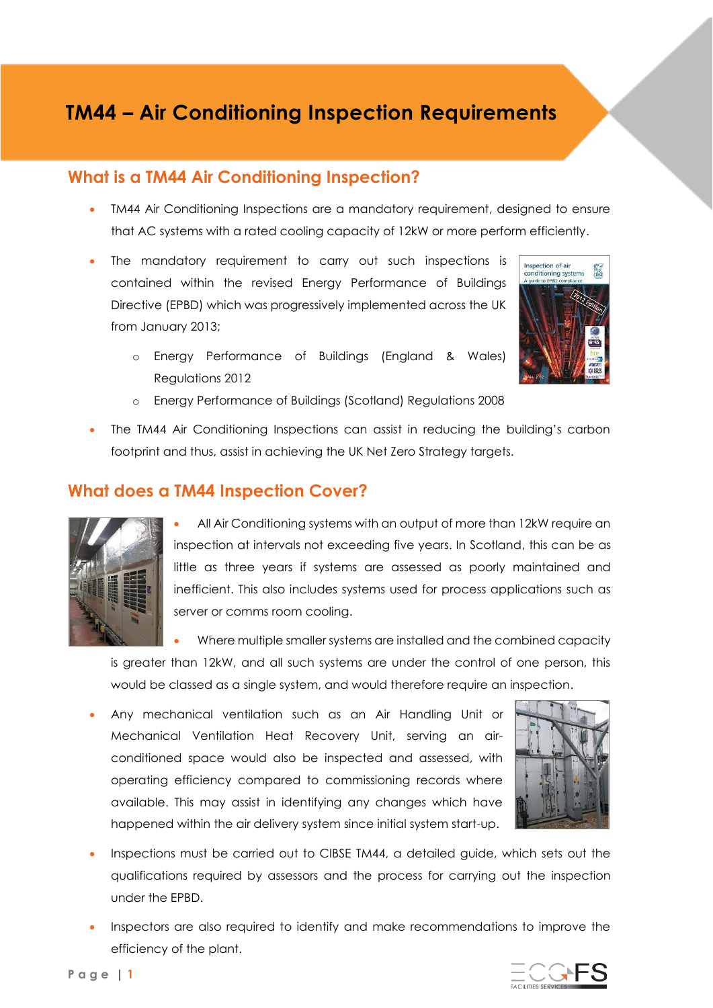# **TM44 – Air Conditioning Inspection Requirements**

### **What is a TM44 Air Conditioning Inspection?**

- TM44 Air Conditioning Inspections are a mandatory requirement, designed to ensure that AC systems with a rated cooling capacity of 12kW or more perform efficiently.
- The mandatory requirement to carry out such inspections is contained within the revised Energy Performance of Buildings Directive (EPBD) which was progressively implemented across the UK from January 2013;



- o Energy Performance of Buildings (England & Wales) Regulations 2012
- o Energy Performance of Buildings (Scotland) Regulations 2008
- The TM44 Air Conditioning Inspections can assist in reducing the building's carbon footprint and thus, assist in achieving the UK Net Zero Strategy targets.

#### **What does a TM44 Inspection Cover?**



• All Air Conditioning systems with an output of more than 12kW require an inspection at intervals not exceeding five years. In Scotland, this can be as little as three years if systems are assessed as poorly maintained and inefficient. This also includes systems used for process applications such as server or comms room cooling.

• Where multiple smaller systems are installed and the combined capacity is greater than 12kW, and all such systems are under the control of one person, this would be classed as a single system, and would therefore require an inspection.

• Any mechanical ventilation such as an Air Handling Unit or Mechanical Ventilation Heat Recovery Unit, serving an airconditioned space would also be inspected and assessed, with operating efficiency compared to commissioning records where available. This may assist in identifying any changes which have happened within the air delivery system since initial system start-up.



- Inspections must be carried out to CIBSE TM44, a detailed guide, which sets out the qualifications required by assessors and the process for carrying out the inspection under the EPBD.
- Inspectors are also required to identify and make recommendations to improve the efficiency of the plant.

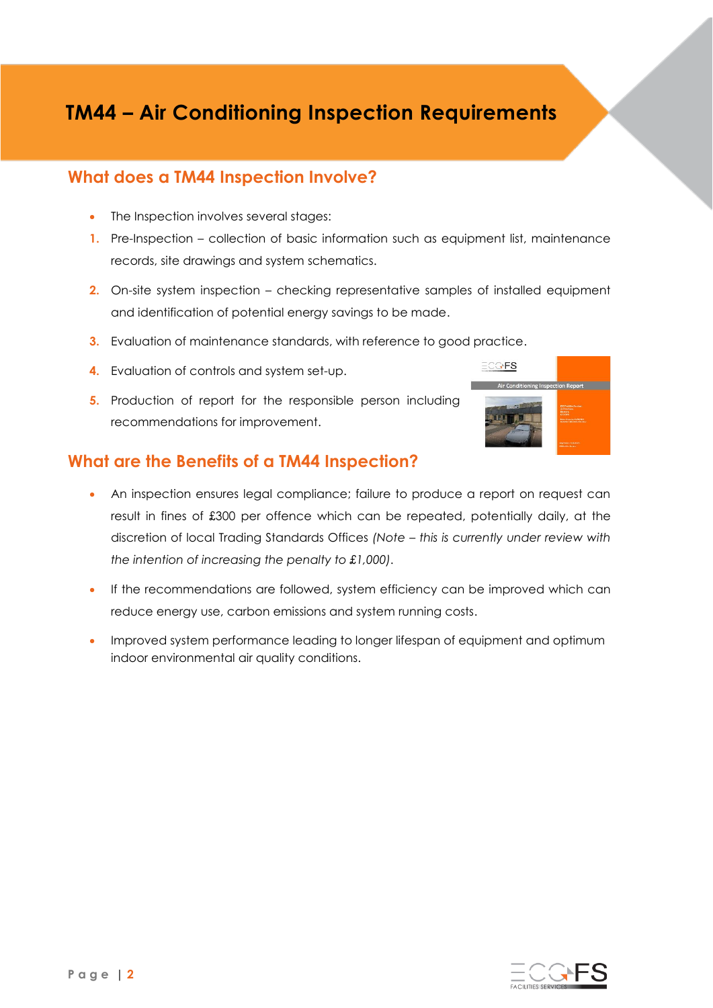# **TM44 – Air Conditioning Inspection Requirements**

### **What does a TM44 Inspection Involve?**

- The Inspection involves several stages:
- **1.** Pre-Inspection collection of basic information such as equipment list, maintenance records, site drawings and system schematics.
- **2.** On-site system inspection checking representative samples of installed equipment and identification of potential energy savings to be made.
- **3.** Evaluation of maintenance standards, with reference to good practice.
- **4.** Evaluation of controls and system set-up.
- **5.** Production of report for the responsible person including recommendations for improvement.

### **What are the Benefits of a TM44 Inspection?**

- An inspection ensures legal compliance; failure to produce a report on request can result in fines of £300 per offence which can be repeated, potentially daily, at the discretion of local Trading Standards Offices *(Note – this is currently under review with the intention of increasing the penalty to £1,000).*
- If the recommendations are followed, system efficiency can be improved which can reduce energy use, carbon emissions and system running costs.
- Improved system performance leading to longer lifespan of equipment and optimum indoor environmental air quality conditions.